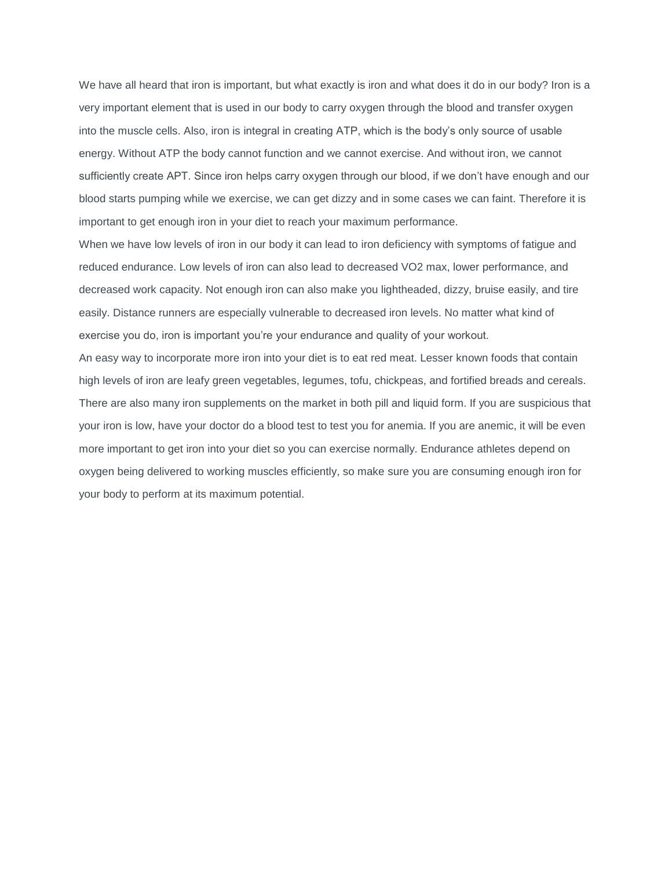We have all heard that iron is important, but what exactly is iron and what does it do in our body? Iron is a very important element that is used in our body to carry oxygen through the blood and transfer oxygen into the muscle cells. Also, iron is integral in creating ATP, which is the body's only source of usable energy. Without ATP the body cannot function and we cannot exercise. And without iron, we cannot sufficiently create APT. Since iron helps carry oxygen through our blood, if we don't have enough and our blood starts pumping while we exercise, we can get dizzy and in some cases we can faint. Therefore it is important to get enough iron in your diet to reach your maximum performance.

When we have low levels of iron in our body it can lead to iron deficiency with symptoms of fatigue and reduced endurance. Low levels of iron can also lead to decreased VO2 max, lower performance, and decreased work capacity. Not enough iron can also make you lightheaded, dizzy, bruise easily, and tire easily. Distance runners are especially vulnerable to decreased iron levels. No matter what kind of exercise you do, iron is important you're your endurance and quality of your workout.

An easy way to incorporate more iron into your diet is to eat red meat. Lesser known foods that contain high levels of iron are leafy green vegetables, legumes, tofu, chickpeas, and fortified breads and cereals. There are also many iron supplements on the market in both pill and liquid form. If you are suspicious that your iron is low, have your doctor do a blood test to test you for anemia. If you are anemic, it will be even more important to get iron into your diet so you can exercise normally. Endurance athletes depend on oxygen being delivered to working muscles efficiently, so make sure you are consuming enough iron for your body to perform at its maximum potential.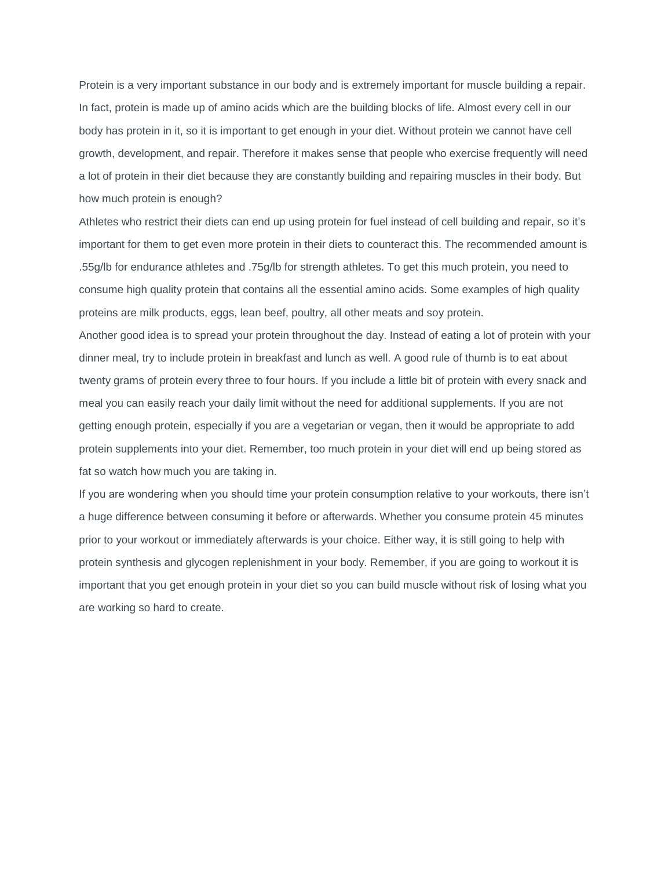Protein is a very important substance in our body and is extremely important for muscle building a repair. In fact, protein is made up of amino acids which are the building blocks of life. Almost every cell in our body has protein in it, so it is important to get enough in your diet. Without protein we cannot have cell growth, development, and repair. Therefore it makes sense that people who exercise frequently will need a lot of protein in their diet because they are constantly building and repairing muscles in their body. But how much protein is enough?

Athletes who restrict their diets can end up using protein for fuel instead of cell building and repair, so it's important for them to get even more protein in their diets to counteract this. The recommended amount is .55g/lb for endurance athletes and .75g/lb for strength athletes. To get this much protein, you need to consume high quality protein that contains all the essential amino acids. Some examples of high quality proteins are milk products, eggs, lean beef, poultry, all other meats and soy protein.

Another good idea is to spread your protein throughout the day. Instead of eating a lot of protein with your dinner meal, try to include protein in breakfast and lunch as well. A good rule of thumb is to eat about twenty grams of protein every three to four hours. If you include a little bit of protein with every snack and meal you can easily reach your daily limit without the need for additional supplements. If you are not getting enough protein, especially if you are a vegetarian or vegan, then it would be appropriate to add protein supplements into your diet. Remember, too much protein in your diet will end up being stored as fat so watch how much you are taking in.

If you are wondering when you should time your protein consumption relative to your workouts, there isn't a huge difference between consuming it before or afterwards. Whether you consume protein 45 minutes prior to your workout or immediately afterwards is your choice. Either way, it is still going to help with protein synthesis and glycogen replenishment in your body. Remember, if you are going to workout it is important that you get enough protein in your diet so you can build muscle without risk of losing what you are working so hard to create.